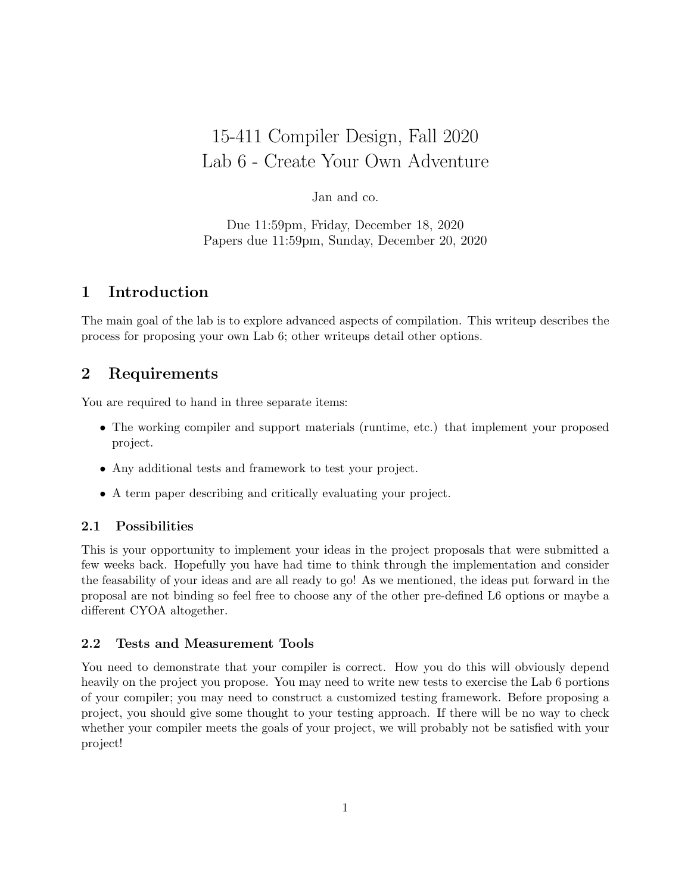# 15-411 Compiler Design, Fall 2020 Lab 6 - Create Your Own Adventure

## Jan and co.

Due 11:59pm, Friday, December 18, 2020 Papers due 11:59pm, Sunday, December 20, 2020

# 1 Introduction

The main goal of the lab is to explore advanced aspects of compilation. This writeup describes the process for proposing your own Lab 6; other writeups detail other options.

# 2 Requirements

You are required to hand in three separate items:

- The working compiler and support materials (runtime, etc.) that implement your proposed project.
- Any additional tests and framework to test your project.
- A term paper describing and critically evaluating your project.

## 2.1 Possibilities

This is your opportunity to implement your ideas in the project proposals that were submitted a few weeks back. Hopefully you have had time to think through the implementation and consider the feasability of your ideas and are all ready to go! As we mentioned, the ideas put forward in the proposal are not binding so feel free to choose any of the other pre-defined L6 options or maybe a different CYOA altogether.

## 2.2 Tests and Measurement Tools

You need to demonstrate that your compiler is correct. How you do this will obviously depend heavily on the project you propose. You may need to write new tests to exercise the Lab 6 portions of your compiler; you may need to construct a customized testing framework. Before proposing a project, you should give some thought to your testing approach. If there will be no way to check whether your compiler meets the goals of your project, we will probably not be satisfied with your project!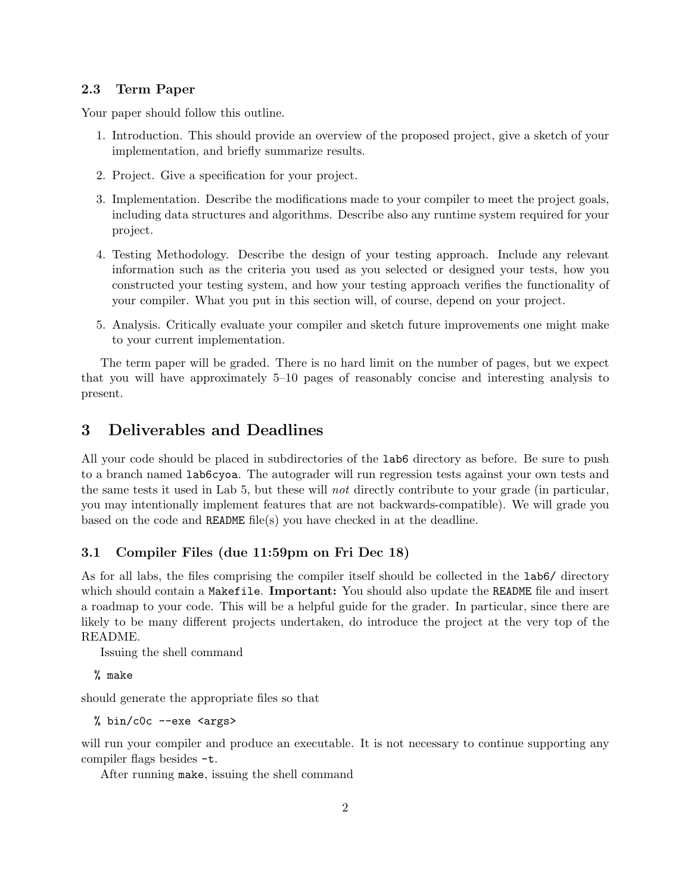## 2.3 Term Paper

Your paper should follow this outline.

- 1. Introduction. This should provide an overview of the proposed project, give a sketch of your implementation, and briefly summarize results.
- 2. Project. Give a specification for your project.
- 3. Implementation. Describe the modifications made to your compiler to meet the project goals, including data structures and algorithms. Describe also any runtime system required for your project.
- 4. Testing Methodology. Describe the design of your testing approach. Include any relevant information such as the criteria you used as you selected or designed your tests, how you constructed your testing system, and how your testing approach verifies the functionality of your compiler. What you put in this section will, of course, depend on your project.
- 5. Analysis. Critically evaluate your compiler and sketch future improvements one might make to your current implementation.

The term paper will be graded. There is no hard limit on the number of pages, but we expect that you will have approximately 5–10 pages of reasonably concise and interesting analysis to present.

# 3 Deliverables and Deadlines

All your code should be placed in subdirectories of the lab6 directory as before. Be sure to push to a branch named lab6cyoa. The autograder will run regression tests against your own tests and the same tests it used in Lab 5, but these will not directly contribute to your grade (in particular, you may intentionally implement features that are not backwards-compatible). We will grade you based on the code and README file(s) you have checked in at the deadline.

## 3.1 Compiler Files (due 11:59pm on Fri Dec 18)

As for all labs, the files comprising the compiler itself should be collected in the lab6/ directory which should contain a Makefile. **Important:** You should also update the README file and insert a roadmap to your code. This will be a helpful guide for the grader. In particular, since there are likely to be many different projects undertaken, do introduce the project at the very top of the README.

Issuing the shell command

% make

should generate the appropriate files so that

% bin/c0c --exe <args>

will run your compiler and produce an executable. It is not necessary to continue supporting any compiler flags besides -t.

After running make, issuing the shell command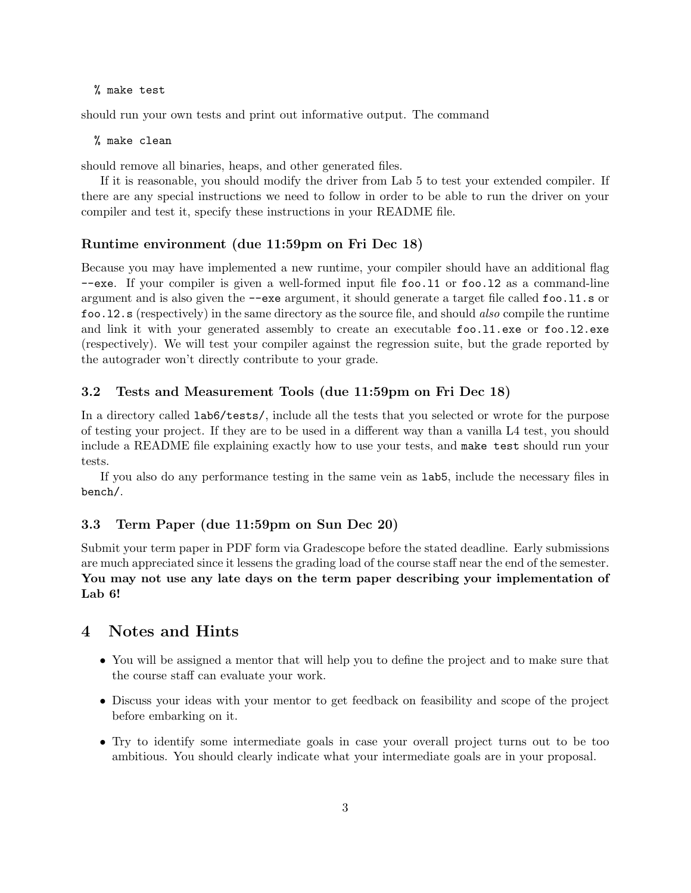#### % make test

should run your own tests and print out informative output. The command

#### % make clean

should remove all binaries, heaps, and other generated files.

If it is reasonable, you should modify the driver from Lab 5 to test your extended compiler. If there are any special instructions we need to follow in order to be able to run the driver on your compiler and test it, specify these instructions in your README file.

#### Runtime environment (due 11:59pm on Fri Dec 18)

Because you may have implemented a new runtime, your compiler should have an additional flag --exe. If your compiler is given a well-formed input file foo.l1 or foo.l2 as a command-line argument and is also given the --exe argument, it should generate a target file called foo.l1.s or foo.l2.s (respectively) in the same directory as the source file, and should also compile the runtime and link it with your generated assembly to create an executable foo.l1.exe or foo.l2.exe (respectively). We will test your compiler against the regression suite, but the grade reported by the autograder won't directly contribute to your grade.

#### 3.2 Tests and Measurement Tools (due 11:59pm on Fri Dec 18)

In a directory called lab6/tests/, include all the tests that you selected or wrote for the purpose of testing your project. If they are to be used in a different way than a vanilla L4 test, you should include a README file explaining exactly how to use your tests, and make test should run your tests.

If you also do any performance testing in the same vein as lab5, include the necessary files in bench/.

## 3.3 Term Paper (due 11:59pm on Sun Dec 20)

Submit your term paper in PDF form via Gradescope before the stated deadline. Early submissions are much appreciated since it lessens the grading load of the course staff near the end of the semester. You may not use any late days on the term paper describing your implementation of Lab 6!

## 4 Notes and Hints

- You will be assigned a mentor that will help you to define the project and to make sure that the course staff can evaluate your work.
- Discuss your ideas with your mentor to get feedback on feasibility and scope of the project before embarking on it.
- Try to identify some intermediate goals in case your overall project turns out to be too ambitious. You should clearly indicate what your intermediate goals are in your proposal.